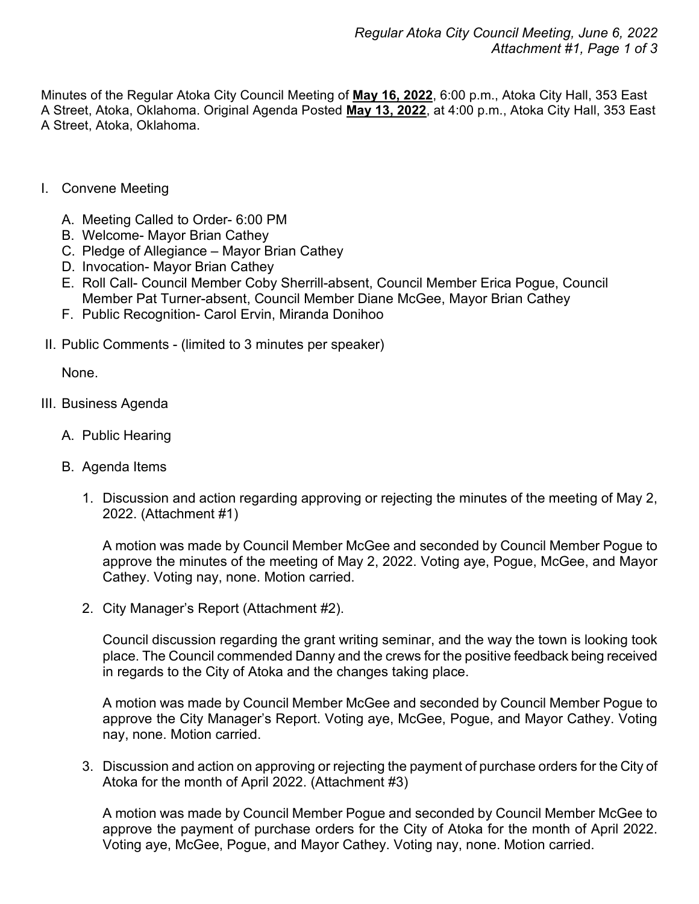Minutes of the Regular Atoka City Council Meeting of **May 16, 2022**, 6:00 p.m., Atoka City Hall, 353 East A Street, Atoka, Oklahoma. Original Agenda Posted **May 13, 2022**, at 4:00 p.m., Atoka City Hall, 353 East A Street, Atoka, Oklahoma.

- I. Convene Meeting
	- A. Meeting Called to Order- 6:00 PM
	- B. Welcome- Mayor Brian Cathey
	- C. Pledge of Allegiance Mayor Brian Cathey
	- D. Invocation- Mayor Brian Cathey
	- E. Roll Call- Council Member Coby Sherrill-absent, Council Member Erica Pogue, Council Member Pat Turner-absent, Council Member Diane McGee, Mayor Brian Cathey
	- F. Public Recognition- Carol Ervin, Miranda Donihoo
- II. Public Comments (limited to 3 minutes per speaker)

None.

- III. Business Agenda
	- A. Public Hearing
	- B. Agenda Items
		- 1. Discussion and action regarding approving or rejecting the minutes of the meeting of May 2, 2022. (Attachment #1)

A motion was made by Council Member McGee and seconded by Council Member Pogue to approve the minutes of the meeting of May 2, 2022. Voting aye, Pogue, McGee, and Mayor Cathey. Voting nay, none. Motion carried.

2. City Manager's Report (Attachment #2).

Council discussion regarding the grant writing seminar, and the way the town is looking took place. The Council commended Danny and the crews for the positive feedback being received in regards to the City of Atoka and the changes taking place.

A motion was made by Council Member McGee and seconded by Council Member Pogue to approve the City Manager's Report. Voting aye, McGee, Pogue, and Mayor Cathey. Voting nay, none. Motion carried.

3. Discussion and action on approving or rejecting the payment of purchase orders for the City of Atoka for the month of April 2022. (Attachment #3)

A motion was made by Council Member Pogue and seconded by Council Member McGee to approve the payment of purchase orders for the City of Atoka for the month of April 2022. Voting aye, McGee, Pogue, and Mayor Cathey. Voting nay, none. Motion carried.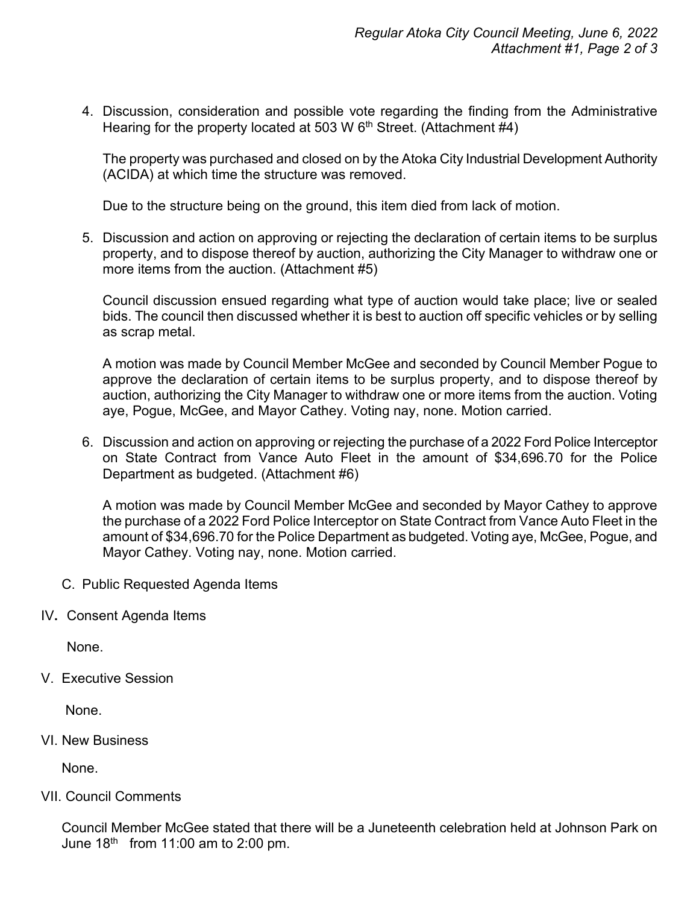4. Discussion, consideration and possible vote regarding the finding from the Administrative Hearing for the property located at 503 W 6<sup>th</sup> Street. (Attachment  $\sharp$ 4)

The property was purchased and closed on by the Atoka City Industrial Development Authority (ACIDA) at which time the structure was removed.

Due to the structure being on the ground, this item died from lack of motion.

5. Discussion and action on approving or rejecting the declaration of certain items to be surplus property, and to dispose thereof by auction, authorizing the City Manager to withdraw one or more items from the auction. (Attachment #5)

Council discussion ensued regarding what type of auction would take place; live or sealed bids. The council then discussed whether it is best to auction off specific vehicles or by selling as scrap metal.

A motion was made by Council Member McGee and seconded by Council Member Pogue to approve the declaration of certain items to be surplus property, and to dispose thereof by auction, authorizing the City Manager to withdraw one or more items from the auction. Voting aye, Pogue, McGee, and Mayor Cathey. Voting nay, none. Motion carried.

6. Discussion and action on approving or rejecting the purchase of a 2022 Ford Police Interceptor on State Contract from Vance Auto Fleet in the amount of \$34,696.70 for the Police Department as budgeted. (Attachment #6)

A motion was made by Council Member McGee and seconded by Mayor Cathey to approve the purchase of a 2022 Ford Police Interceptor on State Contract from Vance Auto Fleet in the amount of \$34,696.70 for the Police Department as budgeted. Voting aye, McGee, Pogue, and Mayor Cathey. Voting nay, none. Motion carried.

- C. Public Requested Agenda Items
- IV**.** Consent Agenda Items

None.

V. Executive Session

None.

VI. New Business

None.

## VII. Council Comments

Council Member McGee stated that there will be a Juneteenth celebration held at Johnson Park on June  $18<sup>th</sup>$  from 11:00 am to 2:00 pm.